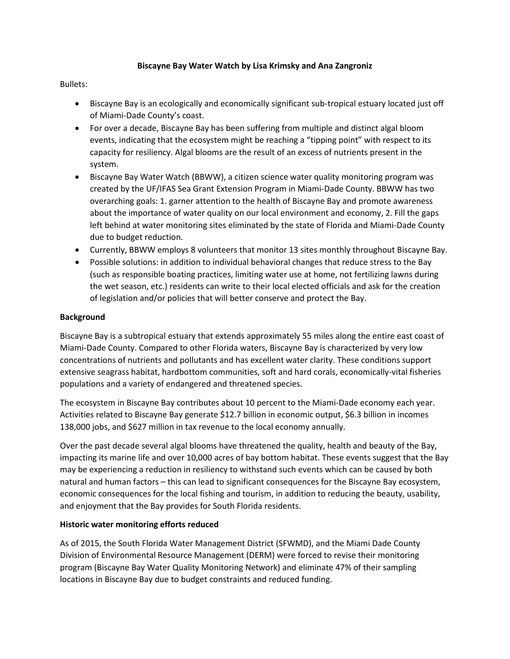## **Biscayne Bay Water Watch by Lisa Krimsky and Ana Zangroniz**

# Bullets:

- Biscayne Bay is an ecologically and economically significant sub-tropical estuary located just off of Miami-Dade County's coast.
- For over a decade, Biscayne Bay has been suffering from multiple and distinct algal bloom events, indicating that the ecosystem might be reaching a "tipping point" with respect to its capacity for resiliency. Algal blooms are the result of an excess of nutrients present in the system.
- Biscayne Bay Water Watch (BBWW), a citizen science water quality monitoring program was created by the UF/IFAS Sea Grant Extension Program in Miami-Dade County. BBWW has two overarching goals: 1. garner attention to the health of Biscayne Bay and promote awareness about the importance of water quality on our local environment and economy, 2. Fill the gaps left behind at water monitoring sites eliminated by the state of Florida and Miami-Dade County due to budget reduction.
- Currently, BBWW employs 8 volunteers that monitor 13 sites monthly throughout Biscayne Bay.
- Possible solutions: in addition to individual behavioral changes that reduce stress to the Bay (such as responsible boating practices, limiting water use at home, not fertilizing lawns during the wet season, etc.) residents can write to their local elected officials and ask for the creation of legislation and/or policies that will better conserve and protect the Bay.

## **Background**

Biscayne Bay is a subtropical estuary that extends approximately 55 miles along the entire east coast of Miami-Dade County. Compared to other Florida waters, Biscayne Bay is characterized by very low concentrations of nutrients and pollutants and has excellent water clarity. These conditions support extensive seagrass habitat, hardbottom communities, soft and hard corals, economically-vital fisheries populations and a variety of endangered and threatened species.

The ecosystem in Biscayne Bay contributes about 10 percent to the Miami-Dade economy each year. Activities related to Biscayne Bay generate \$12.7 billion in economic output, \$6.3 billion in incomes 138,000 jobs, and \$627 million in tax revenue to the local economy annually.

Over the past decade several algal blooms have threatened the quality, health and beauty of the Bay, impacting its marine life and over 10,000 acres of bay bottom habitat. These events suggest that the Bay may be experiencing a reduction in resiliency to withstand such events which can be caused by both natural and human factors – this can lead to significant consequences for the Biscayne Bay ecosystem, economic consequences for the local fishing and tourism, in addition to reducing the beauty, usability, and enjoyment that the Bay provides for South Florida residents.

### **Historic water monitoring efforts reduced**

As of 2015, the South Florida Water Management District (SFWMD), and the Miami Dade County Division of Environmental Resource Management (DERM) were forced to revise their monitoring program (Biscayne Bay Water Quality Monitoring Network) and eliminate 47% of their sampling locations in Biscayne Bay due to budget constraints and reduced funding.